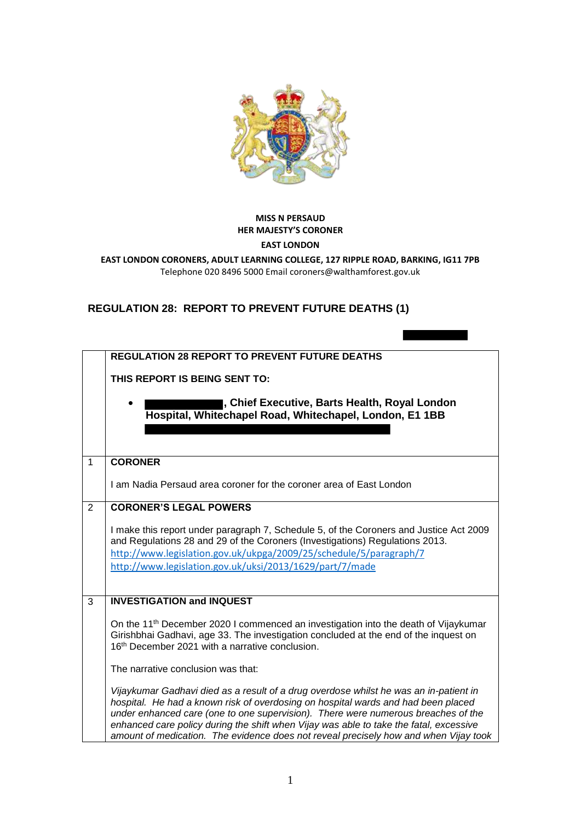

## **MISS N PERSAUD HER MAJESTY'S CORONER**

## **EAST LONDON**

**EAST LONDON CORONERS, ADULT LEARNING COLLEGE, 127 RIPPLE ROAD, BARKING, IG11 7PB**  Telephone 020 8496 5000 Email coroners@walthamforest.gov.uk

## **REGULATION 28: REPORT TO PREVENT FUTURE DEATHS (1)**

|   | <b>REGULATION 28 REPORT TO PREVENT FUTURE DEATHS</b>                                                                                                                                                                                                                                                                                                                                                                                              |
|---|---------------------------------------------------------------------------------------------------------------------------------------------------------------------------------------------------------------------------------------------------------------------------------------------------------------------------------------------------------------------------------------------------------------------------------------------------|
|   | THIS REPORT IS BEING SENT TO:                                                                                                                                                                                                                                                                                                                                                                                                                     |
|   | I, Chief Executive, Barts Health, Royal London<br>Hospital, Whitechapel Road, Whitechapel, London, E1 1BB                                                                                                                                                                                                                                                                                                                                         |
| 1 | <b>CORONER</b>                                                                                                                                                                                                                                                                                                                                                                                                                                    |
|   | I am Nadia Persaud area coroner for the coroner area of East London                                                                                                                                                                                                                                                                                                                                                                               |
| 2 | <b>CORONER'S LEGAL POWERS</b>                                                                                                                                                                                                                                                                                                                                                                                                                     |
|   | I make this report under paragraph 7, Schedule 5, of the Coroners and Justice Act 2009<br>and Regulations 28 and 29 of the Coroners (Investigations) Regulations 2013.<br>http://www.legislation.gov.uk/ukpga/2009/25/schedule/5/paragraph/7<br>http://www.legislation.gov.uk/uksi/2013/1629/part/7/made                                                                                                                                          |
| 3 | <b>INVESTIGATION and INQUEST</b>                                                                                                                                                                                                                                                                                                                                                                                                                  |
|   | On the 11 <sup>th</sup> December 2020 I commenced an investigation into the death of Vijaykumar<br>Girishbhai Gadhavi, age 33. The investigation concluded at the end of the inquest on<br>16 <sup>th</sup> December 2021 with a narrative conclusion.                                                                                                                                                                                            |
|   | The narrative conclusion was that:                                                                                                                                                                                                                                                                                                                                                                                                                |
|   | Vijaykumar Gadhavi died as a result of a drug overdose whilst he was an in-patient in<br>hospital. He had a known risk of overdosing on hospital wards and had been placed<br>under enhanced care (one to one supervision). There were numerous breaches of the<br>enhanced care policy during the shift when Vijay was able to take the fatal, excessive<br>amount of medication. The evidence does not reveal precisely how and when Vijay took |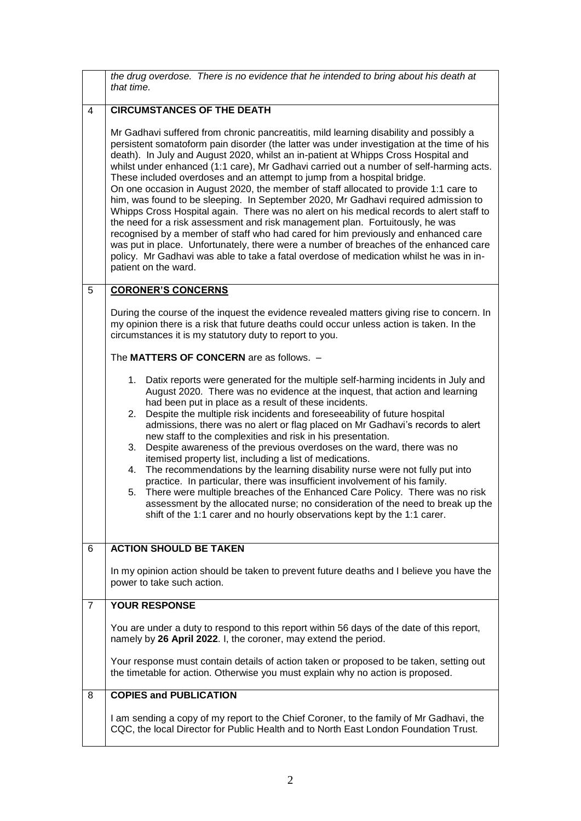|   | the drug overdose. There is no evidence that he intended to bring about his death at<br>that time.                                                                                                                                                                                                                                                                                                                                                                                                                                                                                                                                                                                                                                                                                                                                                                                                                                                                                                                                                                                                            |
|---|---------------------------------------------------------------------------------------------------------------------------------------------------------------------------------------------------------------------------------------------------------------------------------------------------------------------------------------------------------------------------------------------------------------------------------------------------------------------------------------------------------------------------------------------------------------------------------------------------------------------------------------------------------------------------------------------------------------------------------------------------------------------------------------------------------------------------------------------------------------------------------------------------------------------------------------------------------------------------------------------------------------------------------------------------------------------------------------------------------------|
| 4 | <b>CIRCUMSTANCES OF THE DEATH</b>                                                                                                                                                                                                                                                                                                                                                                                                                                                                                                                                                                                                                                                                                                                                                                                                                                                                                                                                                                                                                                                                             |
|   | Mr Gadhavi suffered from chronic pancreatitis, mild learning disability and possibly a<br>persistent somatoform pain disorder (the latter was under investigation at the time of his<br>death). In July and August 2020, whilst an in-patient at Whipps Cross Hospital and<br>whilst under enhanced (1:1 care), Mr Gadhavi carried out a number of self-harming acts.<br>These included overdoses and an attempt to jump from a hospital bridge.<br>On one occasion in August 2020, the member of staff allocated to provide 1:1 care to<br>him, was found to be sleeping. In September 2020, Mr Gadhavi required admission to<br>Whipps Cross Hospital again. There was no alert on his medical records to alert staff to<br>the need for a risk assessment and risk management plan. Fortuitously, he was<br>recognised by a member of staff who had cared for him previously and enhanced care<br>was put in place. Unfortunately, there were a number of breaches of the enhanced care<br>policy. Mr Gadhavi was able to take a fatal overdose of medication whilst he was in in-<br>patient on the ward. |
| 5 | <b>CORONER'S CONCERNS</b>                                                                                                                                                                                                                                                                                                                                                                                                                                                                                                                                                                                                                                                                                                                                                                                                                                                                                                                                                                                                                                                                                     |
|   | During the course of the inquest the evidence revealed matters giving rise to concern. In<br>my opinion there is a risk that future deaths could occur unless action is taken. In the<br>circumstances it is my statutory duty to report to you.                                                                                                                                                                                                                                                                                                                                                                                                                                                                                                                                                                                                                                                                                                                                                                                                                                                              |
|   | The MATTERS OF CONCERN are as follows. -                                                                                                                                                                                                                                                                                                                                                                                                                                                                                                                                                                                                                                                                                                                                                                                                                                                                                                                                                                                                                                                                      |
|   | 1. Datix reports were generated for the multiple self-harming incidents in July and                                                                                                                                                                                                                                                                                                                                                                                                                                                                                                                                                                                                                                                                                                                                                                                                                                                                                                                                                                                                                           |
|   | August 2020. There was no evidence at the inquest, that action and learning<br>had been put in place as a result of these incidents.                                                                                                                                                                                                                                                                                                                                                                                                                                                                                                                                                                                                                                                                                                                                                                                                                                                                                                                                                                          |
|   | Despite the multiple risk incidents and foreseeability of future hospital<br>2.<br>admissions, there was no alert or flag placed on Mr Gadhavi's records to alert<br>new staff to the complexities and risk in his presentation.                                                                                                                                                                                                                                                                                                                                                                                                                                                                                                                                                                                                                                                                                                                                                                                                                                                                              |
|   | 3. Despite awareness of the previous overdoses on the ward, there was no<br>itemised property list, including a list of medications.                                                                                                                                                                                                                                                                                                                                                                                                                                                                                                                                                                                                                                                                                                                                                                                                                                                                                                                                                                          |
|   | 4. The recommendations by the learning disability nurse were not fully put into<br>practice. In particular, there was insufficient involvement of his family.                                                                                                                                                                                                                                                                                                                                                                                                                                                                                                                                                                                                                                                                                                                                                                                                                                                                                                                                                 |
|   | 5. There were multiple breaches of the Enhanced Care Policy. There was no risk                                                                                                                                                                                                                                                                                                                                                                                                                                                                                                                                                                                                                                                                                                                                                                                                                                                                                                                                                                                                                                |
|   | assessment by the allocated nurse; no consideration of the need to break up the<br>shift of the 1:1 carer and no hourly observations kept by the 1:1 carer.                                                                                                                                                                                                                                                                                                                                                                                                                                                                                                                                                                                                                                                                                                                                                                                                                                                                                                                                                   |
| 6 | <b>ACTION SHOULD BE TAKEN</b>                                                                                                                                                                                                                                                                                                                                                                                                                                                                                                                                                                                                                                                                                                                                                                                                                                                                                                                                                                                                                                                                                 |
|   | In my opinion action should be taken to prevent future deaths and I believe you have the<br>power to take such action.                                                                                                                                                                                                                                                                                                                                                                                                                                                                                                                                                                                                                                                                                                                                                                                                                                                                                                                                                                                        |
| 7 | <b>YOUR RESPONSE</b>                                                                                                                                                                                                                                                                                                                                                                                                                                                                                                                                                                                                                                                                                                                                                                                                                                                                                                                                                                                                                                                                                          |
|   | You are under a duty to respond to this report within 56 days of the date of this report,<br>namely by 26 April 2022. I, the coroner, may extend the period.                                                                                                                                                                                                                                                                                                                                                                                                                                                                                                                                                                                                                                                                                                                                                                                                                                                                                                                                                  |
|   | Your response must contain details of action taken or proposed to be taken, setting out<br>the timetable for action. Otherwise you must explain why no action is proposed.                                                                                                                                                                                                                                                                                                                                                                                                                                                                                                                                                                                                                                                                                                                                                                                                                                                                                                                                    |
| 8 | <b>COPIES and PUBLICATION</b>                                                                                                                                                                                                                                                                                                                                                                                                                                                                                                                                                                                                                                                                                                                                                                                                                                                                                                                                                                                                                                                                                 |
|   | I am sending a copy of my report to the Chief Coroner, to the family of Mr Gadhavi, the<br>CQC, the local Director for Public Health and to North East London Foundation Trust.                                                                                                                                                                                                                                                                                                                                                                                                                                                                                                                                                                                                                                                                                                                                                                                                                                                                                                                               |